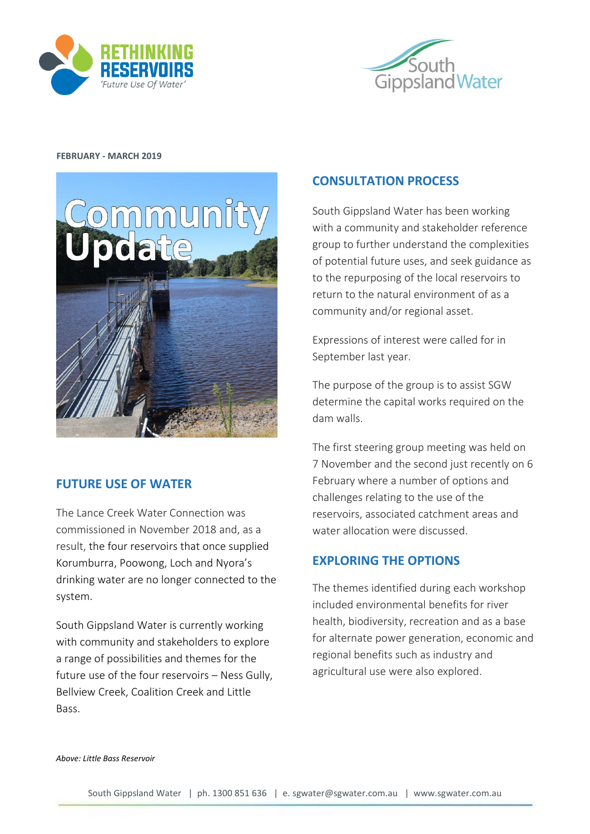



### **FEBRUARY - MARCH 2019**



## **FUTURE USE OF WATER**

The Lance Creek Water Connection was commissioned in November 2018 and, as a result, the four reservoirs that once supplied Korumburra, Poowong, Loch and Nyora's drinking water are no longer connected to the system.

South Gippsland Water is currently working with community and stakeholders to explore a range of possibilities and themes for the future use of the four reservoirs – Ness Gully, Bellview Creek, Coalition Creek and Little Bass.

## **CONSULTATION PROCESS**

South Gippsland Water has been working with a community and stakeholder reference group to further understand the complexities of potential future uses, and seek guidance as to the repurposing of the local reservoirs to return to the natural environment of as a community and/or regional asset.

Expressions of interest were called for in September last year.

The purpose of the group is to assist SGW determine the capital works required on the dam walls.

The first steering group meeting was held on 7 November and the second just recently on 6 February where a number of options and challenges relating to the use of the reservoirs, associated catchment areas and water allocation were discussed.

# **EXPLORING THE OPTIONS**

The themes identified during each workshop included environmental benefits for river health, biodiversity, recreation and as a base for alternate power generation, economic and regional benefits such as industry and agricultural use were also explored.

#### *Above: Little Bass Reservoir*